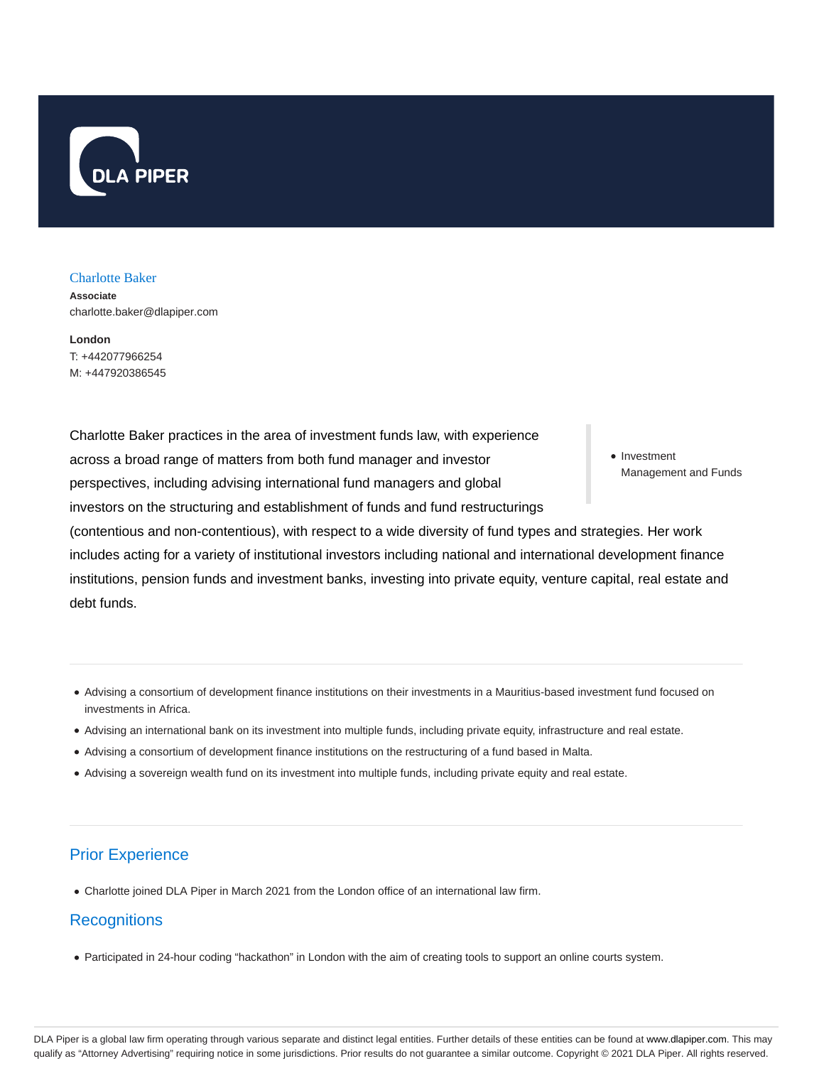

## Charlotte Baker

**Associate** charlotte.baker@dlapiper.com

**London** T: +442077966254 M: +447920386545

• Investment Management and Funds Charlotte Baker practices in the area of investment funds law, with experience across a broad range of matters from both fund manager and investor perspectives, including advising international fund managers and global investors on the structuring and establishment of funds and fund restructurings (contentious and non-contentious), with respect to a wide diversity of fund types and strategies. Her work includes acting for a variety of institutional investors including national and international development finance institutions, pension funds and investment banks, investing into private equity, venture capital, real estate and debt funds.

- Advising a consortium of development finance institutions on their investments in a Mauritius-based investment fund focused on investments in Africa.
- Advising an international bank on its investment into multiple funds, including private equity, infrastructure and real estate.
- Advising a consortium of development finance institutions on the restructuring of a fund based in Malta.
- Advising a sovereign wealth fund on its investment into multiple funds, including private equity and real estate.

## Prior Experience

Charlotte joined DLA Piper in March 2021 from the London office of an international law firm.

## **Recognitions**

Participated in 24-hour coding "hackathon" in London with the aim of creating tools to support an online courts system.